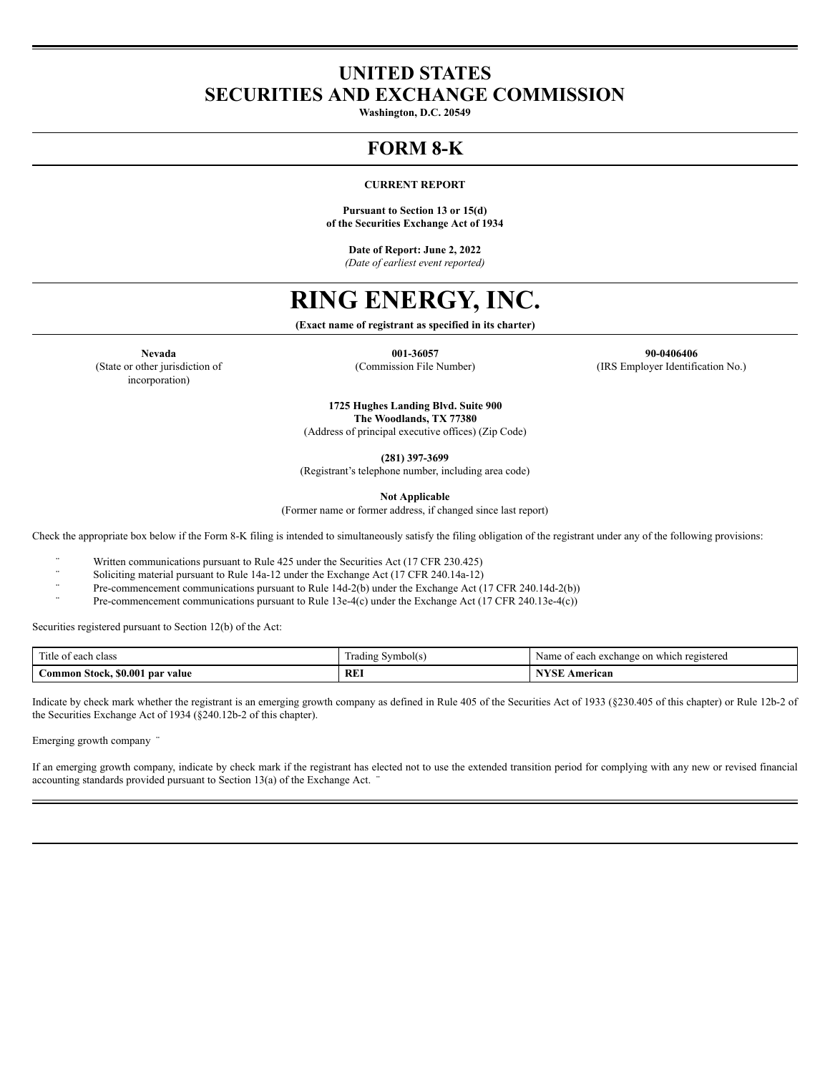## **UNITED STATES SECURITIES AND EXCHANGE COMMISSION**

**Washington, D.C. 20549**

## **FORM 8-K**

#### **CURRENT REPORT**

**Pursuant to Section 13 or 15(d) of the Securities Exchange Act of 1934**

**Date of Report: June 2, 2022** *(Date of earliest event reported)*

# **RING ENERGY, INC.**

**(Exact name of registrant as specified in its charter)**

(State or other jurisdiction of incorporation)

**Nevada 001-36057 90-0406406** (Commission File Number) (IRS Employer Identification No.)

> **1725 Hughes Landing Blvd. Suite 900 The Woodlands, TX 77380**

(Address of principal executive offices) (Zip Code)

**(281) 397-3699**

(Registrant's telephone number, including area code)

**Not Applicable**

(Former name or former address, if changed since last report)

Check the appropriate box below if the Form 8-K filing is intended to simultaneously satisfy the filing obligation of the registrant under any of the following provisions:

Written communications pursuant to Rule 425 under the Securities Act (17 CFR 230.425)

Soliciting material pursuant to Rule 14a-12 under the Exchange Act (17 CFR 240.14a-12)

Pre-commencement communications pursuant to Rule 14d-2(b) under the Exchange Act (17 CFR 240.14d-2(b))

Pre-commencement communications pursuant to Rule 13e-4(c) under the Exchange Act (17 CFR 240.13e-4(c))

Securities registered pursuant to Section 12(b) of the Act:

| cars."<br>Title<br>class<br>each<br>0Ť    | - - -<br>Symbol(s)<br>. adıng Y | on<br>Name<br>registered<br>which<br>. exchange<br>0.001<br>$^{\Omega}$<br>cacı |
|-------------------------------------------|---------------------------------|---------------------------------------------------------------------------------|
| \$0.001<br>. par value<br>ommon<br>Stock. | <b>RE</b>                       | N <sub>1</sub><br>American<br>. T                                               |

Indicate by check mark whether the registrant is an emerging growth company as defined in Rule 405 of the Securities Act of 1933 (§230.405 of this chapter) or Rule 12b-2 of the Securities Exchange Act of 1934 (§240.12b-2 of this chapter).

Emerging growth company ¨

If an emerging growth company, indicate by check mark if the registrant has elected not to use the extended transition period for complying with any new or revised financial accounting standards provided pursuant to Section  $13(a)$  of the Exchange Act.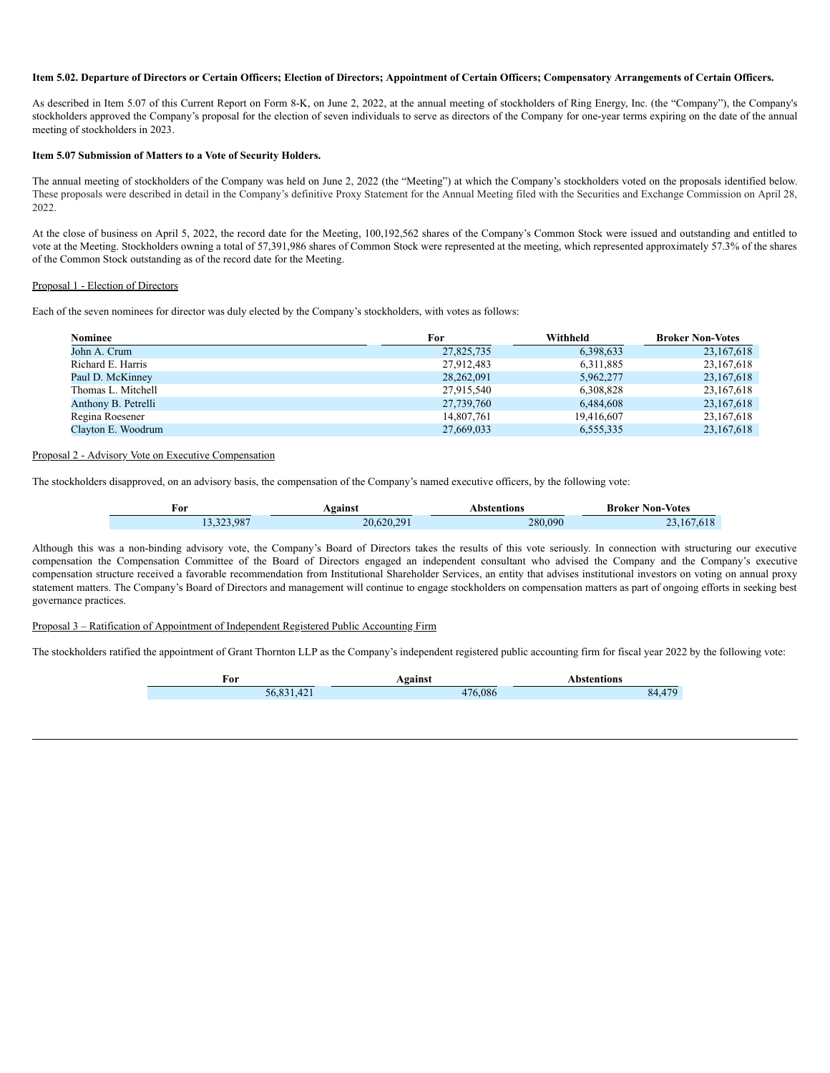#### Item 5.02. Departure of Directors or Certain Officers; Election of Directors; Appointment of Certain Officers; Compensatory Arrangements of Certain Officers.

As described in Item 5.07 of this Current Report on Form 8-K, on June 2, 2022, at the annual meeting of stockholders of Ring Energy, Inc. (the "Company"), the Company's stockholders approved the Company's proposal for the election of seven individuals to serve as directors of the Company for one-year terms expiring on the date of the annual meeting of stockholders in 2023.

#### **Item 5.07 Submission of Matters to a Vote of Security Holders.**

The annual meeting of stockholders of the Company was held on June 2, 2022 (the "Meeting") at which the Company's stockholders voted on the proposals identified below. These proposals were described in detail in the Company's definitive Proxy Statement for the Annual Meeting filed with the Securities and Exchange Commission on April 28, 2022.

At the close of business on April 5, 2022, the record date for the Meeting, 100,192,562 shares of the Company's Common Stock were issued and outstanding and entitled to vote at the Meeting. Stockholders owning a total of 57,391,986 shares of Common Stock were represented at the meeting, which represented approximately 57.3% of the shares of the Common Stock outstanding as of the record date for the Meeting.

#### Proposal 1 - Election of Directors

Each of the seven nominees for director was duly elected by the Company's stockholders, with votes as follows:

| <b>Nominee</b>      | For        | Withheld   | <b>Broker Non-Votes</b> |
|---------------------|------------|------------|-------------------------|
| John A. Crum        | 27,825,735 | 6,398,633  | 23,167,618              |
| Richard E. Harris   | 27,912,483 | 6,311,885  | 23,167,618              |
| Paul D. McKinney    | 28,262,091 | 5,962,277  | 23, 167, 618            |
| Thomas L. Mitchell  | 27,915,540 | 6,308,828  | 23,167,618              |
| Anthony B. Petrelli | 27,739,760 | 6,484,608  | 23, 167, 618            |
| Regina Roesener     | 14,807,761 | 19,416,607 | 23, 167, 618            |
| Clayton E. Woodrum  | 27,669,033 | 6,555,335  | 23, 167, 618            |

#### Proposal 2 - Advisory Vote on Executive Compensation

The stockholders disapproved, on an advisory basis, the compensation of the Company's named executive officers, by the following vote:

| ror        | Against    | Abstentions | <b>Broker Non-Votes</b> |
|------------|------------|-------------|-------------------------|
| 13,323,987 | 20,620,291 | 280.090     | 23, 167, 618            |

Although this was a non-binding advisory vote, the Company's Board of Directors takes the results of this vote seriously. In connection with structuring our executive compensation the Compensation Committee of the Board of Directors engaged an independent consultant who advised the Company and the Company's executive compensation structure received a favorable recommendation from Institutional Shareholder Services, an entity that advises institutional investors on voting on annual proxy statement matters. The Company's Board of Directors and management will continue to engage stockholders on compensation matters as part of ongoing efforts in seeking best governance practices.

#### Proposal 3 – Ratification of Appointment of Independent Registered Public Accounting Firm

The stockholders ratified the appointment of Grant Thornton LLP as the Company's independent registered public accounting firm for fiscal year 2022 by the following vote:

| 'or        | gainst  | Abstentions |
|------------|---------|-------------|
| 56,831,421 | 476.086 |             |
|            |         |             |